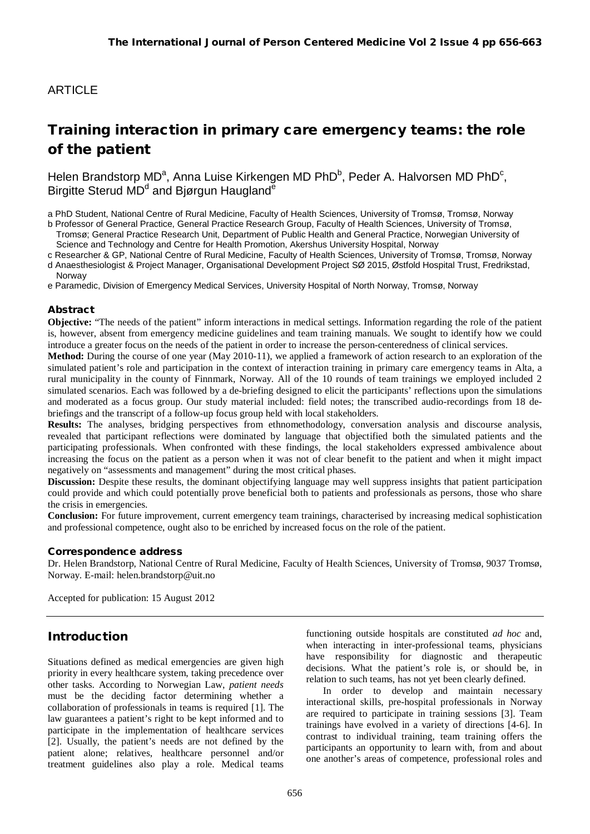# **ARTICLE**

# Training interaction in primary care emergency teams: the role of the patient

Helen Brandstorp MD<sup>a</sup>, Anna Luise Kirkengen MD PhD<sup>b</sup>, Peder A. Halvorsen MD PhD<sup>c</sup>, Birgitte Sterud MD<sup>d</sup> and Bjørgun Haugland<sup>e</sup>

a PhD Student, National Centre of Rural Medicine, Faculty of Health Sciences, University of Tromsø, Tromsø, Norway

b Professor of General Practice, General Practice Research Group, Faculty of Health Sciences, University of Tromsø, Tromsø; General Practice Research Unit, Department of Public Health and General Practice, Norwegian University of

Science and Technology and Centre for Health Promotion, Akershus University Hospital, Norway

c Researcher & GP, National Centre of Rural Medicine, Faculty of Health Sciences, University of Tromsø, Tromsø, Norway d Anaesthesiologist & Project Manager, Organisational Development Project SØ 2015, Østfold Hospital Trust, Fredrikstad,

Norway e Paramedic, Division of Emergency Medical Services, University Hospital of North Norway, Tromsø, Norway

#### Abstract

**Objective:** "The needs of the patient" inform interactions in medical settings. Information regarding the role of the patient is, however, absent from emergency medicine guidelines and team training manuals. We sought to identify how we could introduce a greater focus on the needs of the patient in order to increase the person-centeredness of clinical services.

**Method:** During the course of one year (May 2010-11), we applied a framework of action research to an exploration of the simulated patient's role and participation in the context of interaction training in primary care emergency teams in Alta, a rural municipality in the county of Finnmark, Norway. All of the 10 rounds of team trainings we employed included 2 simulated scenarios. Each was followed by a de-briefing designed to elicit the participants' reflections upon the simulations and moderated as a focus group. Our study material included: field notes; the transcribed audio-recordings from 18 debriefings and the transcript of a follow-up focus group held with local stakeholders.

**Results:** The analyses, bridging perspectives from ethnomethodology, conversation analysis and discourse analysis, revealed that participant reflections were dominated by language that objectified both the simulated patients and the participating professionals. When confronted with these findings, the local stakeholders expressed ambivalence about increasing the focus on the patient as a person when it was not of clear benefit to the patient and when it might impact negatively on "assessments and management" during the most critical phases.

**Discussion:** Despite these results, the dominant objectifying language may well suppress insights that patient participation could provide and which could potentially prove beneficial both to patients and professionals as persons, those who share the crisis in emergencies.

**Conclusion:** For future improvement, current emergency team trainings, characterised by increasing medical sophistication and professional competence, ought also to be enriched by increased focus on the role of the patient.

#### Correspondence address

Dr. Helen Brandstorp, National Centre of Rural Medicine, Faculty of Health Sciences, University of Tromsø, 9037 Tromsø, Norway. E-mail: helen.brandstorp@uit.no

Accepted for publication: 15 August 2012

### Introduction

Situations defined as medical emergencies are given high priority in every healthcare system, taking precedence over other tasks. According to Norwegian Law, *patient needs*  must be the deciding factor determining whether a collaboration of professionals in teams is required [1]. The law guarantees a patient's right to be kept informed and to participate in the implementation of healthcare services [2]. Usually, the patient's needs are not defined by the patient alone; relatives, healthcare personnel and/or treatment guidelines also play a role. Medical teams

functioning outside hospitals are constituted *ad hoc* and, when interacting in inter-professional teams, physicians have responsibility for diagnostic and therapeutic decisions. What the patient's role is, or should be, in relation to such teams, has not yet been clearly defined.

In order to develop and maintain necessary interactional skills, pre-hospital professionals in Norway are required to participate in training sessions [3]. Team trainings have evolved in a variety of directions [4-6]. In contrast to individual training, team training offers the participants an opportunity to learn with, from and about one another's areas of competence, professional roles and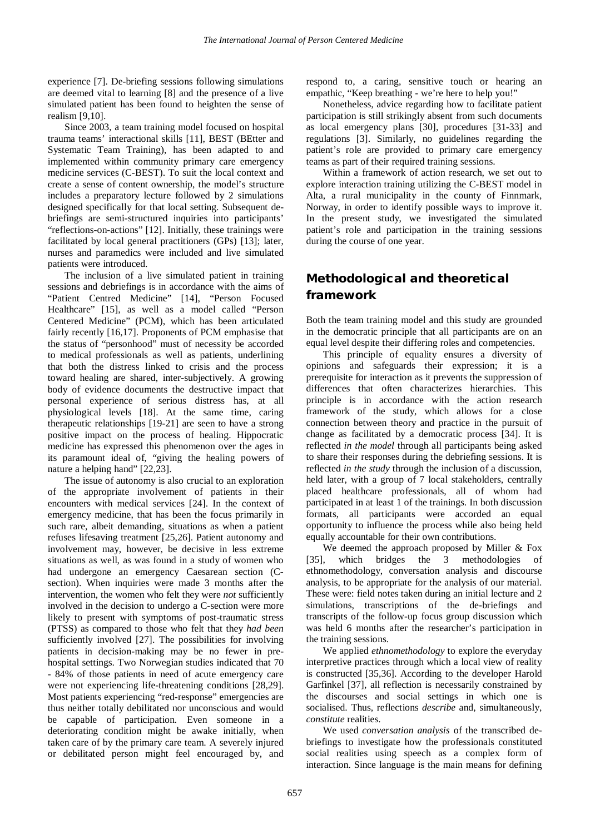experience [7]. De-briefing sessions following simulations are deemed vital to learning [8] and the presence of a live simulated patient has been found to heighten the sense of realism [9,10].

Since 2003, a team training model focused on hospital trauma teams' interactional skills [11], BEST (BEtter and Systematic Team Training), has been adapted to and implemented within community primary care emergency medicine services (C-BEST). To suit the local context and create a sense of content ownership, the model's structure includes a preparatory lecture followed by 2 simulations designed specifically for that local setting. Subsequent debriefings are semi-structured inquiries into participants' "reflections-on-actions" [12]. Initially, these trainings were facilitated by local general practitioners (GPs) [13]; later, nurses and paramedics were included and live simulated patients were introduced.

The inclusion of a live simulated patient in training sessions and debriefings is in accordance with the aims of "Patient Centred Medicine" [14], "Person Focused Healthcare" [15], as well as a model called "Person Centered Medicine" (PCM), which has been articulated fairly recently [16,17]. Proponents of PCM emphasise that the status of "personhood" must of necessity be accorded to medical professionals as well as patients, underlining that both the distress linked to crisis and the process toward healing are shared, inter-subjectively. A growing body of evidence documents the destructive impact that personal experience of serious distress has, at all physiological levels [18]. At the same time, caring therapeutic relationships [19-21] are seen to have a strong positive impact on the process of healing. Hippocratic medicine has expressed this phenomenon over the ages in its paramount ideal of, "giving the healing powers of nature a helping hand" [22,23].

The issue of autonomy is also crucial to an exploration of the appropriate involvement of patients in their encounters with medical services [24]. In the context of emergency medicine, that has been the focus primarily in such rare, albeit demanding, situations as when a patient refuses lifesaving treatment [25,26]. Patient autonomy and involvement may, however, be decisive in less extreme situations as well, as was found in a study of women who had undergone an emergency Caesarean section (Csection). When inquiries were made 3 months after the intervention, the women who felt they were *not* sufficiently involved in the decision to undergo a C-section were more likely to present with symptoms of post-traumatic stress (PTSS) as compared to those who felt that they *had been* sufficiently involved [27]. The possibilities for involving patients in decision-making may be no fewer in prehospital settings. Two Norwegian studies indicated that 70 - 84% of those patients in need of acute emergency care were not experiencing life-threatening conditions [28,29]. Most patients experiencing "red-response" emergencies are thus neither totally debilitated nor unconscious and would be capable of participation. Even someone in a deteriorating condition might be awake initially, when taken care of by the primary care team. A severely injured or debilitated person might feel encouraged by, and respond to, a caring, sensitive touch or hearing an empathic, "Keep breathing - we're here to help you!"

Nonetheless, advice regarding how to facilitate patient participation is still strikingly absent from such documents as local emergency plans [30], procedures [31-33] and regulations [3]. Similarly, no guidelines regarding the patient's role are provided to primary care emergency teams as part of their required training sessions.

Within a framework of action research, we set out to explore interaction training utilizing the C-BEST model in Alta, a rural municipality in the county of Finnmark, Norway, in order to identify possible ways to improve it. In the present study, we investigated the simulated patient's role and participation in the training sessions during the course of one year.

# Methodological and theoretical framework

Both the team training model and this study are grounded in the democratic principle that all participants are on an equal level despite their differing roles and competencies.

This principle of equality ensures a diversity of opinions and safeguards their expression; it is a prerequisite for interaction as it prevents the suppression of differences that often characterizes hierarchies. This principle is in accordance with the action research framework of the study, which allows for a close connection between theory and practice in the pursuit of change as facilitated by a democratic process [34]. It is reflected *in the model* through all participants being asked to share their responses during the debriefing sessions. It is reflected *in the study* through the inclusion of a discussion, held later, with a group of 7 local stakeholders, centrally placed healthcare professionals, all of whom had participated in at least 1 of the trainings. In both discussion formats, all participants were accorded an equal opportunity to influence the process while also being held equally accountable for their own contributions.

We deemed the approach proposed by Miller & Fox [35], which bridges the 3 methodologies of ethnomethodology, conversation analysis and discourse analysis, to be appropriate for the analysis of our material. These were: field notes taken during an initial lecture and 2 simulations, transcriptions of the de-briefings and transcripts of the follow-up focus group discussion which was held 6 months after the researcher's participation in the training sessions.

We applied *ethnomethodology* to explore the everyday interpretive practices through which a local view of reality is constructed [35,36]. According to the developer Harold Garfinkel [37], all reflection is necessarily constrained by the discourses and social settings in which one is socialised. Thus, reflections *describe* and, simultaneously, *constitute* realities.

We used *conversation analysis* of the transcribed debriefings to investigate how the professionals constituted social realities using speech as a complex form of interaction. Since language is the main means for defining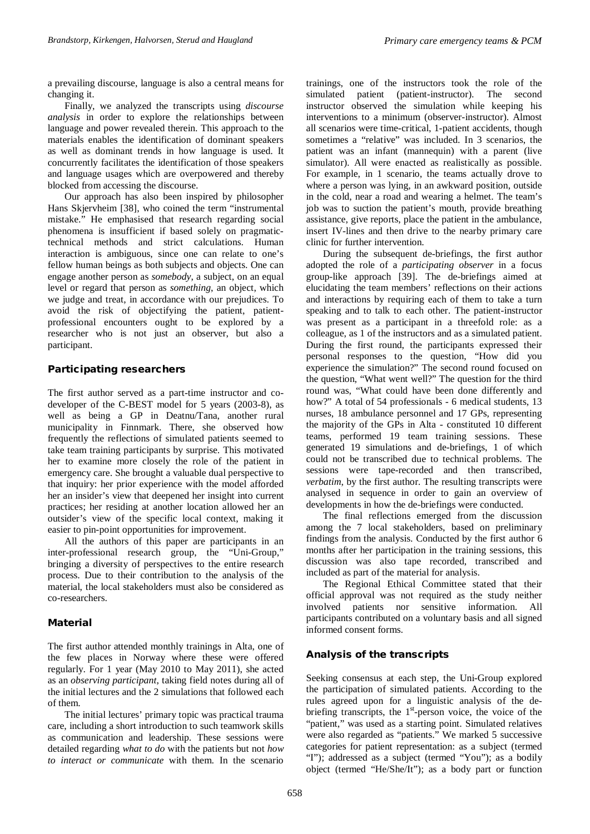a prevailing discourse, language is also a central means for changing it.

Finally, we analyzed the transcripts using *discourse analysis* in order to explore the relationships between language and power revealed therein. This approach to the materials enables the identification of dominant speakers as well as dominant trends in how language is used. It concurrently facilitates the identification of those speakers and language usages which are overpowered and thereby blocked from accessing the discourse.

Our approach has also been inspired by philosopher Hans Skjervheim [38], who coined the term "instrumental mistake." He emphasised that research regarding social phenomena is insufficient if based solely on pragmatictechnical methods and strict calculations. Human interaction is ambiguous, since one can relate to one's fellow human beings as both subjects and objects. One can engage another person as *somebody*, a subject, on an equal level or regard that person as *something*, an object, which we judge and treat, in accordance with our prejudices. To avoid the risk of objectifying the patient, patientprofessional encounters ought to be explored by a researcher who is not just an observer, but also a participant.

#### Participating researchers

The first author served as a part-time instructor and codeveloper of the C-BEST model for 5 years (2003-8), as well as being a GP in Deatnu/Tana, another rural municipality in Finnmark. There, she observed how frequently the reflections of simulated patients seemed to take team training participants by surprise. This motivated her to examine more closely the role of the patient in emergency care. She brought a valuable dual perspective to that inquiry: her prior experience with the model afforded her an insider's view that deepened her insight into current practices; her residing at another location allowed her an outsider's view of the specific local context, making it easier to pin-point opportunities for improvement.

All the authors of this paper are participants in an inter-professional research group, the "Uni-Group," bringing a diversity of perspectives to the entire research process. Due to their contribution to the analysis of the material, the local stakeholders must also be considered as co-researchers.

#### Material

The first author attended monthly trainings in Alta, one of the few places in Norway where these were offered regularly. For 1 year (May 2010 to May 2011), she acted as an *observing participant*, taking field notes during all of the initial lectures and the 2 simulations that followed each of them.

The initial lectures' primary topic was practical trauma care, including a short introduction to such teamwork skills as communication and leadership. These sessions were detailed regarding *what to do* with the patients but not *how to interact or communicate* with them. In the scenario

trainings, one of the instructors took the role of the simulated patient (patient-instructor). The second instructor observed the simulation while keeping his interventions to a minimum (observer-instructor). Almost all scenarios were time-critical, 1-patient accidents, though sometimes a "relative" was included. In 3 scenarios, the patient was an infant (mannequin) with a parent (live simulator). All were enacted as realistically as possible. For example, in 1 scenario, the teams actually drove to where a person was lying, in an awkward position, outside in the cold, near a road and wearing a helmet. The team's job was to suction the patient's mouth, provide breathing assistance, give reports, place the patient in the ambulance, insert IV-lines and then drive to the nearby primary care clinic for further intervention.

During the subsequent de-briefings, the first author adopted the role of a *participating observer* in a focus group-like approach [39]. The de-briefings aimed at elucidating the team members' reflections on their actions and interactions by requiring each of them to take a turn speaking and to talk to each other. The patient-instructor was present as a participant in a threefold role: as a colleague, as 1 of the instructors and as a simulated patient. During the first round, the participants expressed their personal responses to the question, "How did you experience the simulation?" The second round focused on the question, "What went well?" The question for the third round was, "What could have been done differently and how?" A total of 54 professionals - 6 medical students, 13 nurses, 18 ambulance personnel and 17 GPs, representing the majority of the GPs in Alta - constituted 10 different teams, performed 19 team training sessions. These generated 19 simulations and de-briefings, 1 of which could not be transcribed due to technical problems. The sessions were tape-recorded and then transcribed, *verbatim*, by the first author. The resulting transcripts were analysed in sequence in order to gain an overview of developments in how the de-briefings were conducted.

The final reflections emerged from the discussion among the 7 local stakeholders, based on preliminary findings from the analysis. Conducted by the first author 6 months after her participation in the training sessions, this discussion was also tape recorded, transcribed and included as part of the material for analysis.

The Regional Ethical Committee stated that their official approval was not required as the study neither involved patients nor sensitive information. All participants contributed on a voluntary basis and all signed informed consent forms.

#### Analysis of the transcripts

Seeking consensus at each step, the Uni-Group explored the participation of simulated patients. According to the rules agreed upon for a linguistic analysis of the debriefing transcripts, the  $1<sup>st</sup>$ -person voice, the voice of the "patient," was used as a starting point. Simulated relatives were also regarded as "patients." We marked 5 successive categories for patient representation: as a subject (termed "I"); addressed as a subject (termed "You"); as a bodily object (termed "He/She/It"); as a body part or function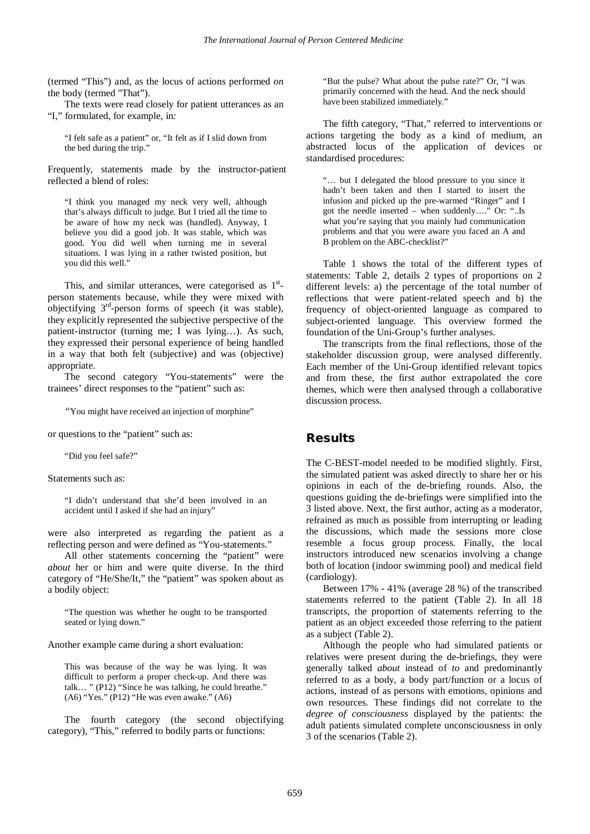(termed "This") and, as the locus of actions performed *on*  the body (termed "That").

The texts were read closely for patient utterances as an "I," formulated, for example, in*:* 

"I felt safe as a patient" or, "It felt as if I slid down from the bed during the trip."

Frequently, statements made by the instructor-patient reflected a blend of roles:

"I think you managed my neck very well, although that's always difficult to judge. But I tried all the time to be aware of how my neck was (handled). Anyway, I believe you did a good job. It was stable, which was good. You did well when turning me in several situations. I was lying in a rather twisted position, but you did this well."

This, and similar utterances, were categorised as  $1<sup>st</sup>$ person statements because, while they were mixed with objectifying  $3<sup>rd</sup>$ -person forms of speech (it was stable), they explicitly represented the subjective perspective of the patient-instructor (turning me; I was lying…). As such, they expressed their personal experience of being handled in a way that both felt (subjective) and was (objective) appropriate.

The second category "You-statements" were the trainees' direct responses to the "patient" such as:

*"*You might have received an injection of morphine"

or questions to the "patient" such as:

"Did you feel safe?"

Statements such as:

"I didn't understand that she'd been involved in an accident until I asked if she had an injury"

were also interpreted as regarding the patient as a reflecting person and were defined as "You-statements."

All other statements concerning the "patient" were *about* her or him and were quite diverse. In the third category of "He/She/It," the "patient" was spoken about as a bodily object:

"The question was whether he ought to be transported seated or lying down."

Another example came during a short evaluation:

This was because of the way he was lying. It was difficult to perform a proper check-up. And there was talk… " (P12) "Since he was talking, he could breathe." (A6) "Yes." (P12) "He was even awake." (A6)

The fourth category (the second objectifying category), "This," referred to bodily parts or functions:

"But the pulse? What about the pulse rate?" Or, "I was primarily concerned with the head. And the neck should have been stabilized immediately."

The fifth category, "That," referred to interventions or actions targeting the body as a kind of medium, an abstracted locus of the application of devices or standardised procedures:

"… but I delegated the blood pressure to you since it hadn't been taken and then I started to insert the infusion and picked up the pre-warmed "Ringer" and I got the needle inserted – when suddenly…." Or: "..Is what you're saying that you mainly had communication problems and that you were aware you faced an A and B problem on the ABC-checklist?"

Table 1 shows the total of the different types of statements: Table 2, details 2 types of proportions on 2 different levels: a) the percentage of the total number of reflections that were patient-related speech and b) the frequency of object-oriented language as compared to subject-oriented language. This overview formed the foundation of the Uni-Group's further analyses.

The transcripts from the final reflections, those of the stakeholder discussion group, were analysed differently. Each member of the Uni-Group identified relevant topics and from these, the first author extrapolated the core themes, which were then analysed through a collaborative discussion process.

#### Results

The C-BEST-model needed to be modified slightly. First, the simulated patient was asked directly to share her or his opinions in each of the de-briefing rounds. Also, the questions guiding the de-briefings were simplified into the 3 listed above. Next, the first author, acting as a moderator, refrained as much as possible from interrupting or leading the discussions, which made the sessions more close resemble a focus group process. Finally, the local instructors introduced new scenarios involving a change both of location (indoor swimming pool) and medical field (cardiology).

Between 17% - 41% (average 28 %) of the transcribed statements referred to the patient (Table 2). In all 18 transcripts, the proportion of statements referring to the patient as an object exceeded those referring to the patient as a subject (Table 2).

Although the people who had simulated patients or relatives were present during the de-briefings, they were generally talked *about* instead of *to* and predominantly referred to as a body, a body part/function or a locus of actions, instead of as persons with emotions, opinions and own resources. These findings did not correlate to the *degree of consciousness* displayed by the patients: the adult patients simulated complete unconsciousness in only 3 of the scenarios (Table 2).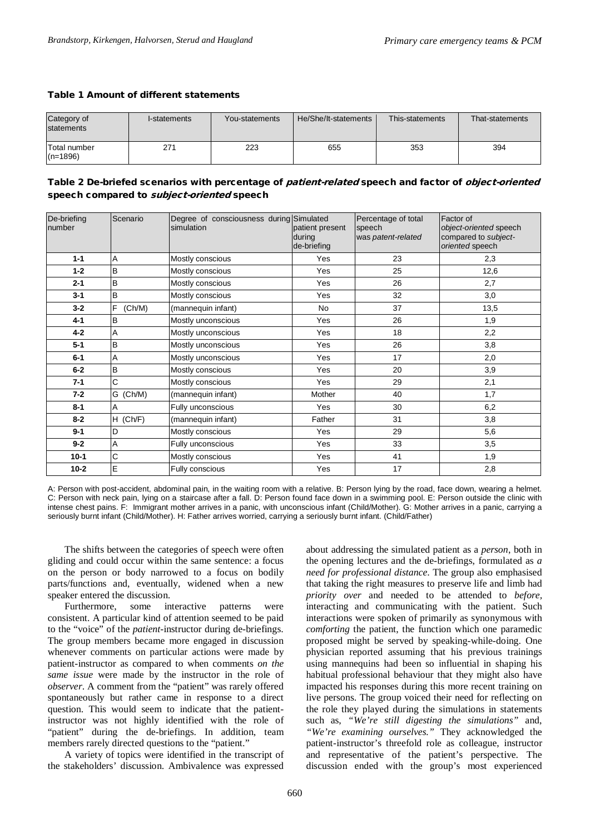#### Table 1 Amount of different statements

| Category of<br>statements  | I-statements | You-statements | He/She/It-statements | This-statements | That-statements |
|----------------------------|--------------|----------------|----------------------|-----------------|-----------------|
| Total number<br>$(n=1896)$ | 271          | 223            | 655                  | 353             | 394             |

#### Table 2 De-briefed scenarios with percentage of patient-related speech and factor of object-oriented speech compared to *subject-oriented* speech

| De-briefing<br>number | Scenario    | Degree of consciousness during Simulated<br>simulation | patient present<br>during<br>de-briefing | Percentage of total<br>speech<br>was patent-related | Factor of<br>object-oriented speech<br>compared to subject-<br>oriented speech |
|-----------------------|-------------|--------------------------------------------------------|------------------------------------------|-----------------------------------------------------|--------------------------------------------------------------------------------|
| $1 - 1$               | Α           | Mostly conscious                                       | Yes                                      | 23                                                  | 2,3                                                                            |
| $1 - 2$               | B           | Mostly conscious                                       | Yes                                      | 25                                                  | 12,6                                                                           |
| $2 - 1$               | B           | Mostly conscious                                       | Yes                                      | 26                                                  | 2,7                                                                            |
| $3 - 1$               | B           | Mostly conscious                                       | Yes                                      | 32                                                  | 3,0                                                                            |
| $3 - 2$               | F<br>(Ch/M) | (mannequin infant)                                     | No                                       | 37                                                  | 13,5                                                                           |
| 4-1                   | B           | Mostly unconscious                                     | Yes                                      | 26                                                  | 1,9                                                                            |
| $4 - 2$               | A           | Mostly unconscious                                     | Yes                                      | 18                                                  | 2,2                                                                            |
| $5-1$                 | B           | Mostly unconscious                                     | Yes                                      | 26                                                  | 3,8                                                                            |
| $6-1$                 | A           | Mostly unconscious                                     | Yes                                      | 17                                                  | 2,0                                                                            |
| $6-2$                 | B           | Mostly conscious                                       | Yes                                      | 20                                                  | 3,9                                                                            |
| $7 - 1$               | C           | Mostly conscious                                       | Yes                                      | 29                                                  | 2,1                                                                            |
| $7 - 2$               | G<br>(Ch/M) | (mannequin infant)                                     | Mother                                   | 40                                                  | 1,7                                                                            |
| 8-1                   | Α           | Fully unconscious                                      | Yes                                      | 30                                                  | 6,2                                                                            |
| $8 - 2$               | $H$ (Ch/F)  | (mannequin infant)                                     | Father                                   | 31                                                  | 3,8                                                                            |
| $9 - 1$               | D           | Mostly conscious                                       | Yes                                      | 29                                                  | 5,6                                                                            |
| $9 - 2$               | A           | Fully unconscious                                      | Yes                                      | 33                                                  | 3,5                                                                            |
| $10 - 1$              | C           | Mostly conscious                                       | Yes                                      | 41                                                  | 1,9                                                                            |
| $10 - 2$              | E           | Fully conscious                                        | Yes                                      | 17                                                  | 2,8                                                                            |

A: Person with post-accident, abdominal pain, in the waiting room with a relative. B: Person lying by the road, face down, wearing a helmet. C: Person with neck pain, lying on a staircase after a fall. D: Person found face down in a swimming pool. E: Person outside the clinic with intense chest pains. F: Immigrant mother arrives in a panic, with unconscious infant (Child/Mother). G: Mother arrives in a panic, carrying a seriously burnt infant (Child/Mother). H: Father arrives worried, carrying a seriously burnt infant. (Child/Father)

The shifts between the categories of speech were often gliding and could occur within the same sentence: a focus on the person or body narrowed to a focus on bodily parts/functions and, eventually, widened when a new speaker entered the discussion.

Furthermore, some interactive patterns were consistent. A particular kind of attention seemed to be paid to the "voice" of the *patient*-instructor during de-briefings. The group members became more engaged in discussion whenever comments on particular actions were made by patient-instructor as compared to when comments *on the same issue* were made by the instructor in the role of *observer*. A comment from the "patient" was rarely offered spontaneously but rather came in response to a direct question. This would seem to indicate that the patientinstructor was not highly identified with the role of "patient" during the de-briefings. In addition, team members rarely directed questions to the "patient."

A variety of topics were identified in the transcript of the stakeholders' discussion. Ambivalence was expressed

about addressing the simulated patient as a *person*, both in the opening lectures and the de-briefings, formulated as *a need for professional distance*. The group also emphasised that taking the right measures to preserve life and limb had *priority over* and needed to be attended to *before,*  interacting and communicating with the patient. Such interactions were spoken of primarily as synonymous with *comforting* the patient, the function which one paramedic proposed might be served by speaking-while-doing. One physician reported assuming that his previous trainings using mannequins had been so influential in shaping his habitual professional behaviour that they might also have impacted his responses during this more recent training on live persons. The group voiced their need for reflecting on the role they played during the simulations in statements such as, *"We're still digesting the simulations"* and, *"We're examining ourselves."* They acknowledged the patient-instructor's threefold role as colleague, instructor and representative of the patient's perspective. The discussion ended with the group's most experienced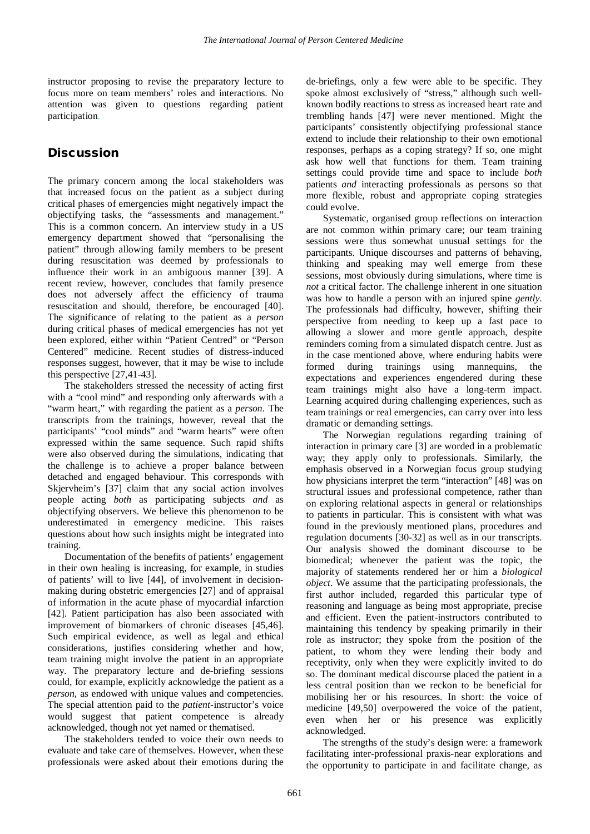instructor proposing to revise the preparatory lecture to focus more on team members' roles and interactions. No attention was given to questions regarding patient participation.

#### **Discussion**

The primary concern among the local stakeholders was that increased focus on the patient as a subject during critical phases of emergencies might negatively impact the objectifying tasks, the "assessments and management." This is a common concern. An interview study in a US emergency department showed that "personalising the patient" through allowing family members to be present during resuscitation was deemed by professionals to influence their work in an ambiguous manner [39]. A recent review, however, concludes that family presence does not adversely affect the efficiency of trauma resuscitation and should, therefore, be encouraged [40]. The significance of relating to the patient as a *person* during critical phases of medical emergencies has not yet been explored, either within "Patient Centred" or "Person Centered" medicine. Recent studies of distress-induced responses suggest, however, that it may be wise to include this perspective [27,41-43].

The stakeholders stressed the necessity of acting first with a "cool mind" and responding only afterwards with a "warm heart," with regarding the patient as a *person*. The transcripts from the trainings, however, reveal that the participants' "cool minds" and "warm hearts" were often expressed within the same sequence. Such rapid shifts were also observed during the simulations, indicating that the challenge is to achieve a proper balance between detached and engaged behaviour. This corresponds with Skjervheim's [37] claim that any social action involves people acting *both* as participating subjects *and* as objectifying observers. We believe this phenomenon to be underestimated in emergency medicine. This raises questions about how such insights might be integrated into training.

Documentation of the benefits of patients' engagement in their own healing is increasing, for example, in studies of patients' will to live [44], of involvement in decisionmaking during obstetric emergencies [27] and of appraisal of information in the acute phase of myocardial infarction [42]. Patient participation has also been associated with improvement of biomarkers of chronic diseases [45,46]. Such empirical evidence, as well as legal and ethical considerations, justifies considering whether and how, team training might involve the patient in an appropriate way. The preparatory lecture and de-briefing sessions could, for example, explicitly acknowledge the patient as a *person*, as endowed with unique values and competencies. The special attention paid to the *patient-*instructor's voice would suggest that patient competence is already acknowledged, though not yet named or thematised.

The stakeholders tended to voice their own needs to evaluate and take care of themselves. However, when these professionals were asked about their emotions during the

de-briefings, only a few were able to be specific. They spoke almost exclusively of "stress," although such wellknown bodily reactions to stress as increased heart rate and trembling hands [47] were never mentioned. Might the participants' consistently objectifying professional stance extend to include their relationship to their own emotional responses, perhaps as a coping strategy? If so, one might ask how well that functions for them. Team training settings could provide time and space to include *both*  patients *and* interacting professionals as persons so that more flexible, robust and appropriate coping strategies could evolve.

Systematic, organised group reflections on interaction are not common within primary care; our team training sessions were thus somewhat unusual settings for the participants. Unique discourses and patterns of behaving, thinking and speaking may well emerge from these sessions, most obviously during simulations, where time is *not* a critical factor. The challenge inherent in one situation was how to handle a person with an injured spine *gently*. The professionals had difficulty, however, shifting their perspective from needing to keep up a fast pace to allowing a slower and more gentle approach, despite reminders coming from a simulated dispatch centre. Just as in the case mentioned above, where enduring habits were formed during trainings using mannequins, the expectations and experiences engendered during these team trainings might also have a long-term impact. Learning acquired during challenging experiences, such as team trainings or real emergencies, can carry over into less dramatic or demanding settings.

The Norwegian regulations regarding training of interaction in primary care [3] are worded in a problematic way; they apply only to professionals. Similarly, the emphasis observed in a Norwegian focus group studying how physicians interpret the term "interaction" [48] was on structural issues and professional competence, rather than on exploring relational aspects in general or relationships to patients in particular. This is consistent with what was found in the previously mentioned plans, procedures and regulation documents [30-32] as well as in our transcripts. Our analysis showed the dominant discourse to be biomedical; whenever the patient was the topic, the majority of statements rendered her or him a *biological object*. We assume that the participating professionals, the first author included, regarded this particular type of reasoning and language as being most appropriate, precise and efficient. Even the patient-instructors contributed to maintaining this tendency by speaking primarily in their role as instructor; they spoke from the position of the patient, to whom they were lending their body and receptivity, only when they were explicitly invited to do so. The dominant medical discourse placed the patient in a less central position than we reckon to be beneficial for mobilising her or his resources. In short: the voice of medicine [49,50] overpowered the voice of the patient, even when her or his presence was explicitly acknowledged.

The strengths of the study's design were: a framework facilitating inter-professional praxis-near explorations and the opportunity to participate in and facilitate change, as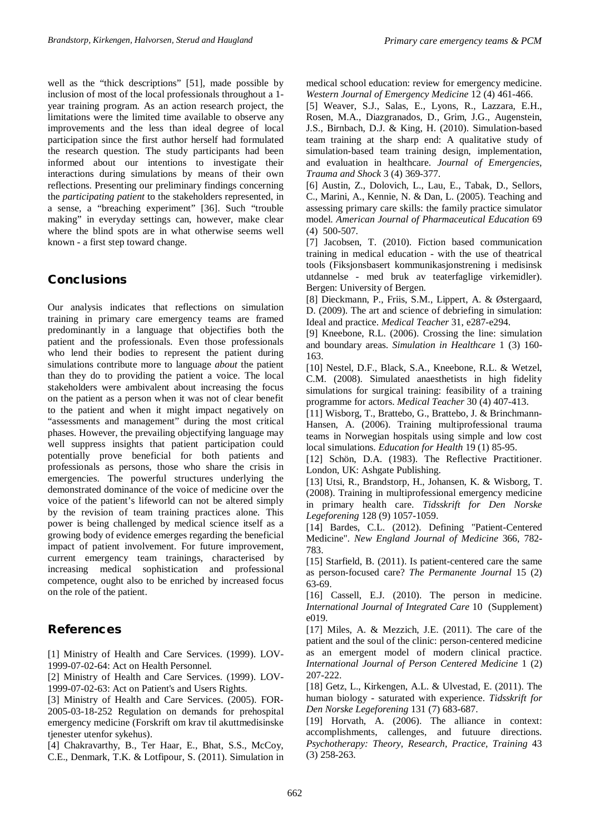well as the "thick descriptions" [51], made possible by inclusion of most of the local professionals throughout a 1 year training program. As an action research project, the limitations were the limited time available to observe any improvements and the less than ideal degree of local participation since the first author herself had formulated the research question. The study participants had been informed about our intentions to investigate their interactions during simulations by means of their own reflections. Presenting our preliminary findings concerning the *participating patient* to the stakeholders represented, in a sense, a "breaching experiment" [36]. Such "trouble making" in everyday settings can, however, make clear where the blind spots are in what otherwise seems well known - a first step toward change.

# **Conclusions**

Our analysis indicates that reflections on simulation training in primary care emergency teams are framed predominantly in a language that objectifies both the patient and the professionals. Even those professionals who lend their bodies to represent the patient during simulations contribute more to language *about* the patient than they do to providing the patient a voice. The local stakeholders were ambivalent about increasing the focus on the patient as a person when it was not of clear benefit to the patient and when it might impact negatively on "assessments and management" during the most critical phases. However, the prevailing objectifying language may well suppress insights that patient participation could potentially prove beneficial for both patients and professionals as persons, those who share the crisis in emergencies. The powerful structures underlying the demonstrated dominance of the voice of medicine over the voice of the patient's lifeworld can not be altered simply by the revision of team training practices alone. This power is being challenged by medical science itself as a growing body of evidence emerges regarding the beneficial impact of patient involvement. For future improvement, current emergency team trainings, characterised by increasing medical sophistication and professional competence, ought also to be enriched by increased focus on the role of the patient.

# References

[1] Ministry of Health and Care Services. (1999). LOV-1999-07-02-64: Act on Health Personnel.

[2] Ministry of Health and Care Services. (1999). LOV-1999-07-02-63: Act on Patient's and Users Rights.

[3] Ministry of Health and Care Services. (2005). FOR-2005-03-18-252 Regulation on demands for prehospital emergency medicine (Forskrift om krav til akuttmedisinske tjenester utenfor sykehus).

[4] Chakravarthy, B., Ter Haar, E., Bhat, S.S., McCoy, C.E., Denmark, T.K. & Lotfipour, S. (2011). Simulation in medical school education: review for emergency medicine. *Western Journal of Emergency Medicine* 12 (4) 461-466.

[5] Weaver, S.J., Salas, E., Lyons, R., Lazzara, E.H., Rosen, M.A., Diazgranados, D., Grim, J.G., Augenstein, J.S., Birnbach, D.J. & King, H. (2010). Simulation-based team training at the sharp end: A qualitative study of simulation-based team training design, implementation, and evaluation in healthcare. *Journal of Emergencies, Trauma and Shock* 3 (4) 369-377.

[6] Austin, Z., Dolovich, L., Lau, E., Tabak, D., Sellors, C., Marini, A., Kennie, N. & Dan, L. (2005). Teaching and assessing primary care skills: the family practice simulator model. *American Journal of Pharmaceutical Education* 69 (4) 500-507.

[7] Jacobsen, T. (2010). Fiction based communication training in medical education - with the use of theatrical tools (Fiksjonsbasert kommunikasjonstrening i medisinsk utdannelse - med bruk av teaterfaglige virkemidler). Bergen: University of Bergen.

[8] Dieckmann, P., Friis, S.M., Lippert, A. & Østergaard, D. (2009). The art and science of debriefing in simulation: Ideal and practice. *Medical Teacher* 31, e287-e294.

[9] Kneebone, R.L. (2006). Crossing the line: simulation and boundary areas. *Simulation in Healthcare* 1 (3) 160- 163.

[10] Nestel, D.F., Black, S.A., Kneebone, R.L. & Wetzel, C.M. (2008). Simulated anaesthetists in high fidelity simulations for surgical training: feasibility of a training programme for actors. *Medical Teacher* 30 (4) 407-413.

[11] Wisborg, T., Brattebo, G., Brattebo, J. & Brinchmann-Hansen, A. (2006). Training multiprofessional trauma teams in Norwegian hospitals using simple and low cost local simulations. *Education for Health* 19 (1) 85-95.

[12] Schön, D.A. (1983). The Reflective Practitioner. London, UK: Ashgate Publishing.

[13] Utsi, R., Brandstorp, H., Johansen, K. & Wisborg, T. (2008). Training in multiprofessional emergency medicine in primary health care. *Tidsskrift for Den Norske Legeforening* 128 (9) 1057-1059.

[14] Bardes, C.L. (2012). Defining "Patient-Centered Medicine". *New England Journal of Medicine* 366, 782- 783.

[15] Starfield, B. (2011). Is patient-centered care the same as person-focused care? *The Permanente Journal* 15 (2) 63-69.

[16] Cassell, E.J. (2010). The person in medicine. *International Journal of Integrated Care* 10 (Supplement) e019.

[17] Miles, A. & Mezzich, J.E. (2011). The care of the patient and the soul of the clinic: person-centered medicine as an emergent model of modern clinical practice. *International Journal of Person Centered Medicine* 1 (2) 207-222.

[18] Getz, L., Kirkengen, A.L. & Ulvestad, E. (2011). The human biology - saturated with experience. *Tidsskrift for Den Norske Legeforening* 131 (7) 683-687.

[19] Horvath, A. (2006). The alliance in context: accomplishments, callenges, and futuure directions. *Psychotherapy: Theory, Research, Practice, Training* 43 (3) 258-263.